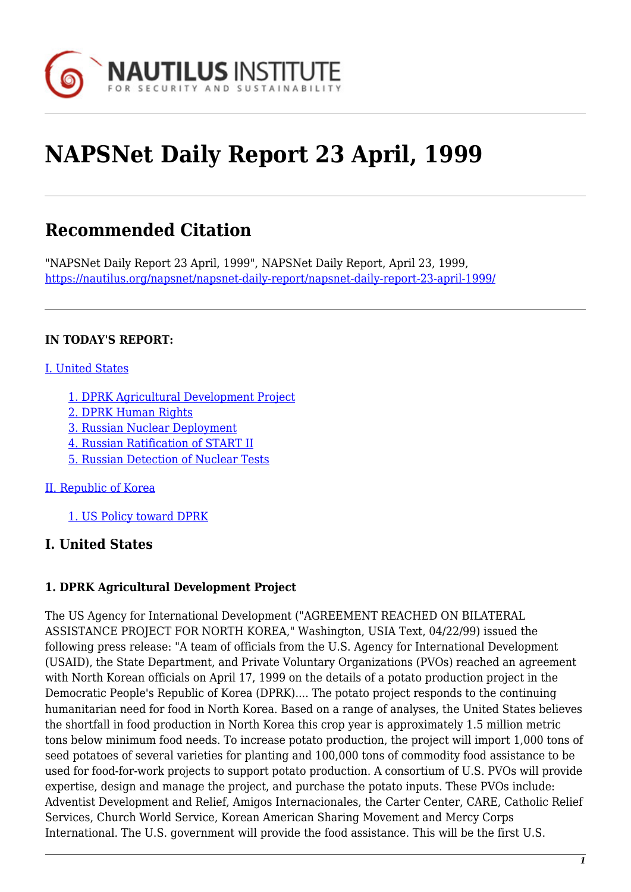

# **NAPSNet Daily Report 23 April, 1999**

## **Recommended Citation**

"NAPSNet Daily Report 23 April, 1999", NAPSNet Daily Report, April 23, 1999, <https://nautilus.org/napsnet/napsnet-daily-report/napsnet-daily-report-23-april-1999/>

#### **IN TODAY'S REPORT:**

#### [I. United States](#page--1-0)

- [1. DPRK Agricultural Development Project](#page-0-0)
- [2. DPRK Human Rights](#page-1-0)
- [3. Russian Nuclear Deployment](#page-1-1)
- [4. Russian Ratification of START II](#page-1-2)
- [5. Russian Detection of Nuclear Tests](#page-1-3)

#### [II. Republic of Korea](#page-2-0)

[1. US Policy toward DPRK](#page-2-1)

#### **I. United States**

#### <span id="page-0-0"></span>**1. DPRK Agricultural Development Project**

The US Agency for International Development ("AGREEMENT REACHED ON BILATERAL ASSISTANCE PROJECT FOR NORTH KOREA," Washington, USIA Text, 04/22/99) issued the following press release: "A team of officials from the U.S. Agency for International Development (USAID), the State Department, and Private Voluntary Organizations (PVOs) reached an agreement with North Korean officials on April 17, 1999 on the details of a potato production project in the Democratic People's Republic of Korea (DPRK).... The potato project responds to the continuing humanitarian need for food in North Korea. Based on a range of analyses, the United States believes the shortfall in food production in North Korea this crop year is approximately 1.5 million metric tons below minimum food needs. To increase potato production, the project will import 1,000 tons of seed potatoes of several varieties for planting and 100,000 tons of commodity food assistance to be used for food-for-work projects to support potato production. A consortium of U.S. PVOs will provide expertise, design and manage the project, and purchase the potato inputs. These PVOs include: Adventist Development and Relief, Amigos Internacionales, the Carter Center, CARE, Catholic Relief Services, Church World Service, Korean American Sharing Movement and Mercy Corps International. The U.S. government will provide the food assistance. This will be the first U.S.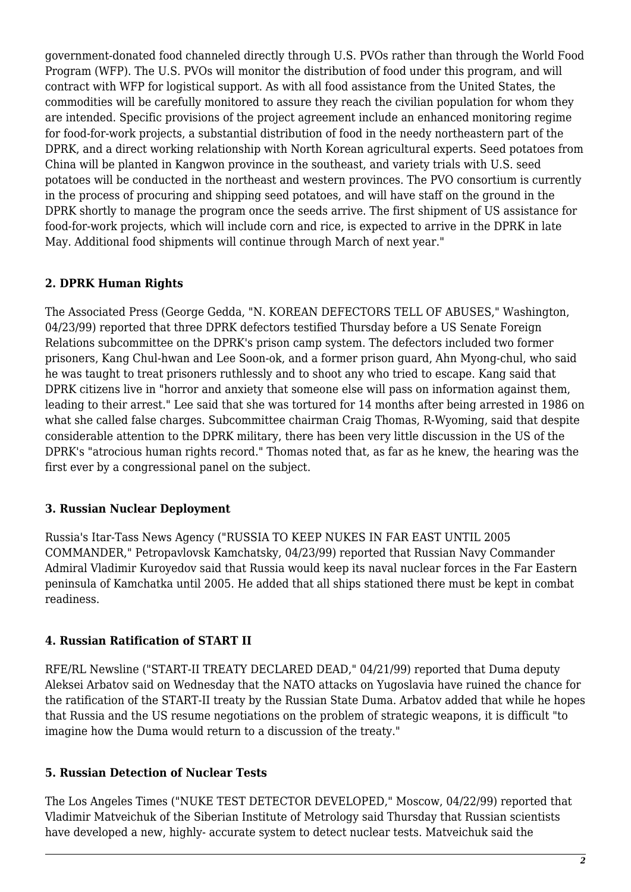government-donated food channeled directly through U.S. PVOs rather than through the World Food Program (WFP). The U.S. PVOs will monitor the distribution of food under this program, and will contract with WFP for logistical support. As with all food assistance from the United States, the commodities will be carefully monitored to assure they reach the civilian population for whom they are intended. Specific provisions of the project agreement include an enhanced monitoring regime for food-for-work projects, a substantial distribution of food in the needy northeastern part of the DPRK, and a direct working relationship with North Korean agricultural experts. Seed potatoes from China will be planted in Kangwon province in the southeast, and variety trials with U.S. seed potatoes will be conducted in the northeast and western provinces. The PVO consortium is currently in the process of procuring and shipping seed potatoes, and will have staff on the ground in the DPRK shortly to manage the program once the seeds arrive. The first shipment of US assistance for food-for-work projects, which will include corn and rice, is expected to arrive in the DPRK in late May. Additional food shipments will continue through March of next year."

#### <span id="page-1-0"></span>**2. DPRK Human Rights**

The Associated Press (George Gedda, "N. KOREAN DEFECTORS TELL OF ABUSES," Washington, 04/23/99) reported that three DPRK defectors testified Thursday before a US Senate Foreign Relations subcommittee on the DPRK's prison camp system. The defectors included two former prisoners, Kang Chul-hwan and Lee Soon-ok, and a former prison guard, Ahn Myong-chul, who said he was taught to treat prisoners ruthlessly and to shoot any who tried to escape. Kang said that DPRK citizens live in "horror and anxiety that someone else will pass on information against them, leading to their arrest." Lee said that she was tortured for 14 months after being arrested in 1986 on what she called false charges. Subcommittee chairman Craig Thomas, R-Wyoming, said that despite considerable attention to the DPRK military, there has been very little discussion in the US of the DPRK's "atrocious human rights record." Thomas noted that, as far as he knew, the hearing was the first ever by a congressional panel on the subject.

#### <span id="page-1-1"></span>**3. Russian Nuclear Deployment**

Russia's Itar-Tass News Agency ("RUSSIA TO KEEP NUKES IN FAR EAST UNTIL 2005 COMMANDER," Petropavlovsk Kamchatsky, 04/23/99) reported that Russian Navy Commander Admiral Vladimir Kuroyedov said that Russia would keep its naval nuclear forces in the Far Eastern peninsula of Kamchatka until 2005. He added that all ships stationed there must be kept in combat readiness.

#### <span id="page-1-2"></span>**4. Russian Ratification of START II**

RFE/RL Newsline ("START-II TREATY DECLARED DEAD," 04/21/99) reported that Duma deputy Aleksei Arbatov said on Wednesday that the NATO attacks on Yugoslavia have ruined the chance for the ratification of the START-II treaty by the Russian State Duma. Arbatov added that while he hopes that Russia and the US resume negotiations on the problem of strategic weapons, it is difficult "to imagine how the Duma would return to a discussion of the treaty."

#### <span id="page-1-3"></span>**5. Russian Detection of Nuclear Tests**

The Los Angeles Times ("NUKE TEST DETECTOR DEVELOPED," Moscow, 04/22/99) reported that Vladimir Matveichuk of the Siberian Institute of Metrology said Thursday that Russian scientists have developed a new, highly- accurate system to detect nuclear tests. Matveichuk said the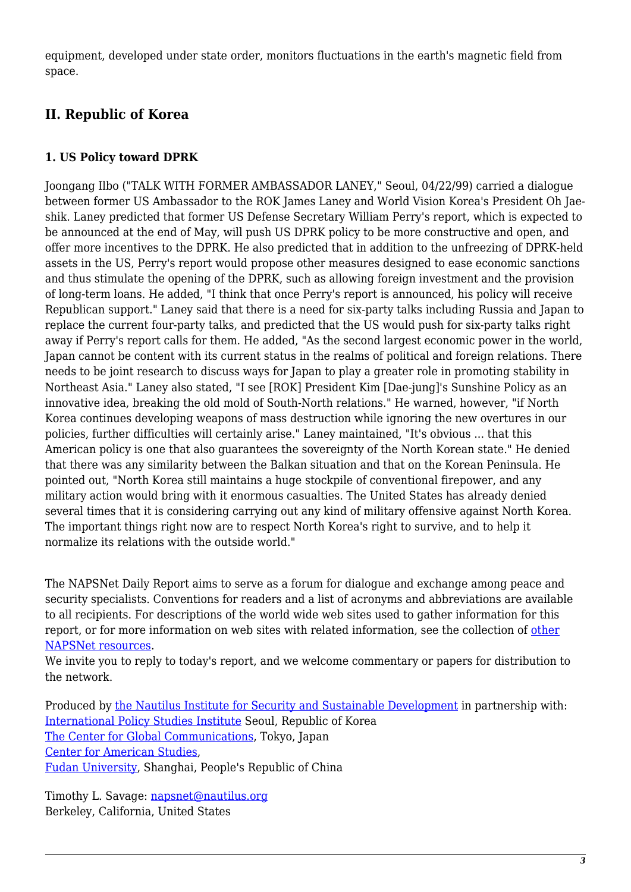equipment, developed under state order, monitors fluctuations in the earth's magnetic field from space.

### <span id="page-2-0"></span>**II. Republic of Korea**

#### <span id="page-2-1"></span>**1. US Policy toward DPRK**

Joongang Ilbo ("TALK WITH FORMER AMBASSADOR LANEY," Seoul, 04/22/99) carried a dialogue between former US Ambassador to the ROK James Laney and World Vision Korea's President Oh Jaeshik. Laney predicted that former US Defense Secretary William Perry's report, which is expected to be announced at the end of May, will push US DPRK policy to be more constructive and open, and offer more incentives to the DPRK. He also predicted that in addition to the unfreezing of DPRK-held assets in the US, Perry's report would propose other measures designed to ease economic sanctions and thus stimulate the opening of the DPRK, such as allowing foreign investment and the provision of long-term loans. He added, "I think that once Perry's report is announced, his policy will receive Republican support." Laney said that there is a need for six-party talks including Russia and Japan to replace the current four-party talks, and predicted that the US would push for six-party talks right away if Perry's report calls for them. He added, "As the second largest economic power in the world, Japan cannot be content with its current status in the realms of political and foreign relations. There needs to be joint research to discuss ways for Japan to play a greater role in promoting stability in Northeast Asia." Laney also stated, "I see [ROK] President Kim [Dae-jung]'s Sunshine Policy as an innovative idea, breaking the old mold of South-North relations." He warned, however, "if North Korea continues developing weapons of mass destruction while ignoring the new overtures in our policies, further difficulties will certainly arise." Laney maintained, "It's obvious ... that this American policy is one that also guarantees the sovereignty of the North Korean state." He denied that there was any similarity between the Balkan situation and that on the Korean Peninsula. He pointed out, "North Korea still maintains a huge stockpile of conventional firepower, and any military action would bring with it enormous casualties. The United States has already denied several times that it is considering carrying out any kind of military offensive against North Korea. The important things right now are to respect North Korea's right to survive, and to help it normalize its relations with the outside world."

The NAPSNet Daily Report aims to serve as a forum for dialogue and exchange among peace and security specialists. Conventions for readers and a list of acronyms and abbreviations are available to all recipients. For descriptions of the world wide web sites used to gather information for this report, or for more information on web sites with related information, see the collection of [other](http://www.nautilus.org/napsnet/resources.html) [NAPSNet resources.](http://www.nautilus.org/napsnet/resources.html)

We invite you to reply to today's report, and we welcome commentary or papers for distribution to the network.

Produced by [the Nautilus Institute for Security and Sustainable Development](http://www.nautilus.org/morenaut.html) in partnership with: [International Policy Studies Institute](http://www.IPSI.org/) Seoul, Republic of Korea [The Center for Global Communications](http://aska.glocom.ac.jp/default.html), Tokyo, Japan [Center for American Studies](http://www.fudan.sh.cn/english/lab/ame_res/ame_res.htm), [Fudan University](http://www.fudan.sh.cn/index.html), Shanghai, People's Republic of China

Timothy L. Savage: [napsnet@nautilus.org](mailto:napsnet@nautilus.org) Berkeley, California, United States